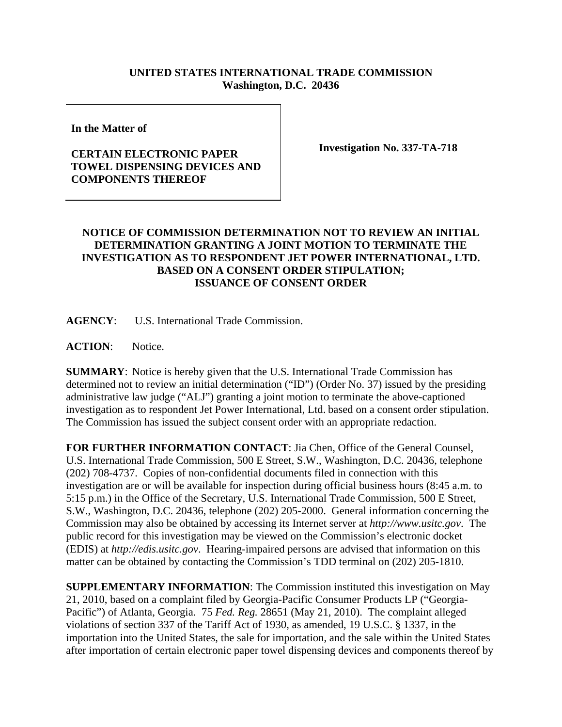## **UNITED STATES INTERNATIONAL TRADE COMMISSION Washington, D.C. 20436**

**In the Matter of** 

## **CERTAIN ELECTRONIC PAPER TOWEL DISPENSING DEVICES AND COMPONENTS THEREOF**

**Investigation No. 337-TA-718** 

## **NOTICE OF COMMISSION DETERMINATION NOT TO REVIEW AN INITIAL DETERMINATION GRANTING A JOINT MOTION TO TERMINATE THE INVESTIGATION AS TO RESPONDENT JET POWER INTERNATIONAL, LTD. BASED ON A CONSENT ORDER STIPULATION; ISSUANCE OF CONSENT ORDER**

**AGENCY**: U.S. International Trade Commission.

**ACTION**: Notice.

**SUMMARY**: Notice is hereby given that the U.S. International Trade Commission has determined not to review an initial determination ("ID") (Order No. 37) issued by the presiding administrative law judge ("ALJ") granting a joint motion to terminate the above-captioned investigation as to respondent Jet Power International, Ltd. based on a consent order stipulation. The Commission has issued the subject consent order with an appropriate redaction.

**FOR FURTHER INFORMATION CONTACT**: Jia Chen, Office of the General Counsel, U.S. International Trade Commission, 500 E Street, S.W., Washington, D.C. 20436, telephone (202) 708-4737. Copies of non-confidential documents filed in connection with this investigation are or will be available for inspection during official business hours (8:45 a.m. to 5:15 p.m.) in the Office of the Secretary, U.S. International Trade Commission, 500 E Street, S.W., Washington, D.C. 20436, telephone (202) 205-2000. General information concerning the Commission may also be obtained by accessing its Internet server at *http://www.usitc.gov*. The public record for this investigation may be viewed on the Commission's electronic docket (EDIS) at *http://edis.usitc.gov*. Hearing-impaired persons are advised that information on this matter can be obtained by contacting the Commission's TDD terminal on (202) 205-1810.

**SUPPLEMENTARY INFORMATION**: The Commission instituted this investigation on May 21, 2010, based on a complaint filed by Georgia-Pacific Consumer Products LP ("Georgia-Pacific") of Atlanta, Georgia. 75 *Fed. Reg.* 28651 (May 21, 2010). The complaint alleged violations of section 337 of the Tariff Act of 1930, as amended, 19 U.S.C. § 1337, in the importation into the United States, the sale for importation, and the sale within the United States after importation of certain electronic paper towel dispensing devices and components thereof by